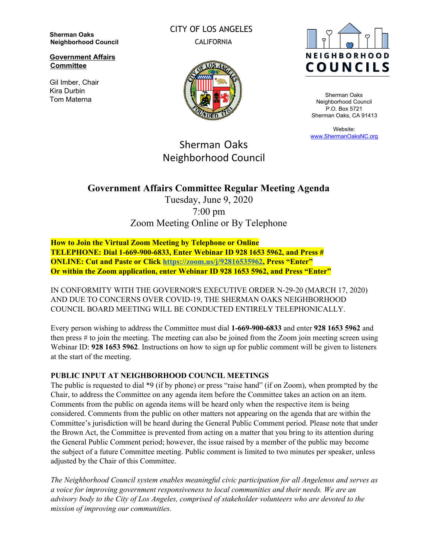**Sherman Oaks Neighborhood Council**

**Government Affairs Committee**

Gil Imber, Chair Kira Durbin Tom Materna

CITY OF LOS ANGELES CALIFORNIA





Sherman Oaks Neighborhood Council P.O. Box 5721 Sherman Oaks, CA 91413

Website: [www.ShermanOaksNC.org](http://www.shermanoaksnc.org/)

# Sherman Oaks Neighborhood Council

## **Government Affairs Committee Regular Meeting Agenda**

Tuesday, June 9, 2020 7:00 pm Zoom Meeting Online or By Telephone

**How to Join the Virtual Zoom Meeting by Telephone or Online TELEPHONE: Dial 1-669-900-6833, Enter Webinar ID 928 1653 5962, and Press # ONLINE: Cut and Paste or Click [https://zoom.us/j/92816535962,](https://zoom.us/j/92816535962) Press "Enter" Or within the Zoom application, enter Webinar ID 928 1653 5962, and Press "Enter"**

IN CONFORMITY WITH THE GOVERNOR'S EXECUTIVE ORDER N-29-20 (MARCH 17, 2020) AND DUE TO CONCERNS OVER COVID-19, THE SHERMAN OAKS NEIGHBORHOOD COUNCIL BOARD MEETING WILL BE CONDUCTED ENTIRELY TELEPHONICALLY.

Every person wishing to address the Committee must dial **1-669-900-6833** and enter **928 1653 5962** and then press # to join the meeting. The meeting can also be joined from the Zoom join meeting screen using Webinar ID: **928 1653 5962**. Instructions on how to sign up for public comment will be given to listeners at the start of the meeting.

## **PUBLIC INPUT AT NEIGHBORHOOD COUNCIL MEETINGS**

The public is requested to dial \*9 (if by phone) or press "raise hand" (if on Zoom), when prompted by the Chair, to address the Committee on any agenda item before the Committee takes an action on an item. Comments from the public on agenda items will be heard only when the respective item is being considered. Comments from the public on other matters not appearing on the agenda that are within the Committee's jurisdiction will be heard during the General Public Comment period. Please note that under the Brown Act, the Committee is prevented from acting on a matter that you bring to its attention during the General Public Comment period; however, the issue raised by a member of the public may become the subject of a future Committee meeting. Public comment is limited to two minutes per speaker, unless adjusted by the Chair of this Committee.

*The Neighborhood Council system enables meaningful civic participation for all Angelenos and serves as a voice for improving government responsiveness to local communities and their needs. We are an advisory body to the City of Los Angeles, comprised of stakeholder volunteers who are devoted to the mission of improving our communities.*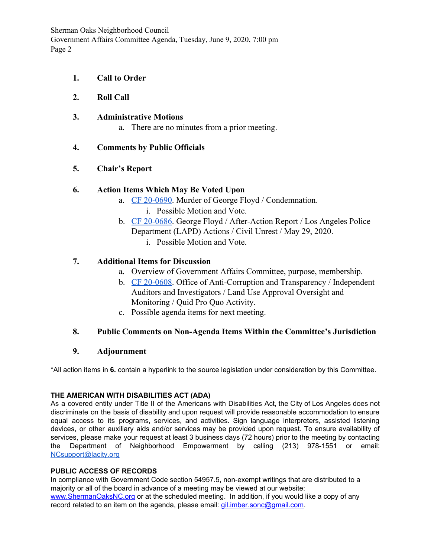Sherman Oaks Neighborhood Council Government Affairs Committee Agenda, Tuesday, June 9, 2020, 7:00 pm Page 2

- **1. Call to Order**
- **2. Roll Call**
- **3. Administrative Motions**
	- a. There are no minutes from a prior meeting.

## **4. Comments by Public Officials**

## **5. Chair's Report**

## **6. Action Items Which May Be Voted Upon**

- a. [CF 20-0690](https://cityclerk.lacity.org/lacityclerkconnect/index.cfm?fa=ccfi.viewrecord&cfnumber=20-0690). Murder of George Floyd / Condemnation.
	- i. Possible Motion and Vote.
- b. [CF 20-0686](https://cityclerk.lacity.org/lacityclerkconnect/index.cfm?fa=ccfi.viewrecord&cfnumber=20-0686). George Floyd / After-Action Report / Los Angeles Police Department (LAPD) Actions / Civil Unrest / May 29, 2020.
	- i. Possible Motion and Vote.

## **7. Additional Items for Discussion**

- a. Overview of Government Affairs Committee, purpose, membership.
- b. [CF 20-0608](http://clkrep.lacity.org/onlinedocs/2020/20-0608_mot_05-19-2020.pdf). Office of Anti-Corruption and Transparency / Independent Auditors and Investigators / Land Use Approval Oversight and Monitoring / Quid Pro Quo Activity.
- c. Possible agenda items for next meeting.

## **8. Public Comments on Non-Agenda Items Within the Committee's Jurisdiction**

### **9. Adjournment**

\*All action items in **6.** contain a hyperlink to the source legislation under consideration by this Committee.

### **THE AMERICAN WITH DISABILITIES ACT (ADA)**

As a covered entity under Title II of the Americans with Disabilities Act, the City of Los Angeles does not discriminate on the basis of disability and upon request will provide reasonable accommodation to ensure equal access to its programs, services, and activities. Sign language interpreters, assisted listening devices, or other auxiliary aids and/or services may be provided upon request. To ensure availability of services, please make your request at least 3 business days (72 hours) prior to the meeting by contacting the Department of Neighborhood Empowerment by calling (213) 978-1551 or email: [NCsupport@lacity.org](mailto:NCsupport@lacity.org)

## **PUBLIC ACCESS OF RECORDS**

In compliance with Government Code section 54957.5, non-exempt writings that are distributed to a majority or all of the board in advance of a meeting may be viewed at our website: [www.ShermanOaksNC.org](http://www.shermanoaksnc.org/) or at the scheduled meeting. In addition, if you would like a copy of any record related to an item on the agenda, please email: [gil.imber.sonc@gmail.com.](mailto:gil.imber.sonc@gmail.com)